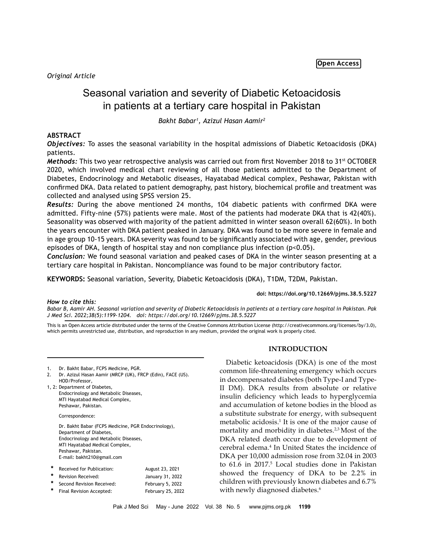*Original Article*

# Seasonal variation and severity of Diabetic Ketoacidosis in patients at a tertiary care hospital in Pakistan

*Bakht Babar1 , Azizul Hasan Aamir2*

## **ABSTRACT**

*Objectives:* To asses the seasonal variability in the hospital admissions of Diabetic Ketoacidosis (DKA) patients.

*Methods:* This two year retrospective analysis was carried out from first November 2018 to 31<sup>st</sup> OCTOBER 2020, which involved medical chart reviewing of all those patients admitted to the Department of Diabetes, Endocrinology and Metabolic diseases, Hayatabad Medical complex, Peshawar, Pakistan with confirmed DKA. Data related to patient demography, past history, biochemical profile and treatment was collected and analysed using SPSS version 25.

*Results:* During the above mentioned 24 months, 104 diabetic patients with confirmed DKA were admitted. Fifty-nine (57%) patients were male. Most of the patients had moderate DKA that is 42(40%). Seasonality was observed with majority of the patient admitted in winter season overall 62(60%). In both the years encounter with DKA patient peaked in January. DKA was found to be more severe in female and in age group 10-15 years. DKA severity was found to be significantly associated with age, gender, previous episodes of DKA, length of hospital stay and non compliance plus infection (p<0.05).

*Conclusion:* We found seasonal variation and peaked cases of DKA in the winter season presenting at a tertiary care hospital in Pakistan. Noncompliance was found to be major contributory factor.

**KEYWORDS:** Seasonal variation, Severity, Diabetic Ketoacidosis (DKA), T1DM, T2DM, Pakistan.

**doi: https://doi.org/10.12669/pjms.38.5.5227**

### *How to cite this:*

Babar B, Aamir AH. Seasonal variation and severity of Diabetic Ketoacidosis in patients at a tertiary care hospital in Pakistan. Pak *J Med Sci. 2022;38(5):1199-1204. doi: https://doi.org/10.12669/pjms.38.5.5227*

This is an Open Access article distributed under the terms of the Creative Commons Attribution License (http://creativecommons.org/licenses/by/3.0), which permits unrestricted use, distribution, and reproduction in any medium, provided the original work is properly cited.

| 1. | Dr. Bakht Babar, FCPS Medicine, PGR. |  |
|----|--------------------------------------|--|
|----|--------------------------------------|--|

- 2. Dr. Azizul Hasan Aamir (MRCP (UK), FRCP (Edin), FACE (US). HOD/Professor, 1, 2: Department of Diabetes,
- Endocrinology and Metabolic Diseases, MTI Hayatabad Medical Complex, Peshawar, Pakistan.

Correspondence:

Dr. Bakht Babar (FCPS Medicine, PGR Endocrinology), Department of Diabetes, Endocrinology and Metabolic Diseases, MTI Hayatabad Medical Complex, Peshawar, Pakistan. E-mail: bakht210@gmail.com

|   | Received for Publication: | August 23, 2021   |
|---|---------------------------|-------------------|
|   | Revision Received:        | January 31, 2022  |
|   | Second Revision Received: | February 5, 2022  |
| * | Final Revision Accepted:  | February 25, 2022 |
|   |                           |                   |

## **INTRODUCTION**

Diabetic ketoacidosis (DKA) is one of the most common life-threatening emergency which occurs in decompensated diabetes (both Type-I and Type-II DM). DKA results from absolute or relative insulin deficiency which leads to hyperglycemia and accumulation of ketone bodies in the blood as a substitute substrate for energy, with subsequent metabolic acidosis.<sup>1</sup> It is one of the major cause of mortality and morbidity in diabetes.<sup>2,3</sup> Most of the DKA related death occur due to development of cerebral edema.<sup>4</sup> In United States the incidence of DKA per 10,000 admission rose from 32.04 in 2003 to 61.6 in 2017.<sup>5</sup> Local studies done in Pakistan showed the frequency of DKA to be 2.2% in children with previously known diabetes and 6.7% with newly diagnosed diabetes.<sup>6</sup>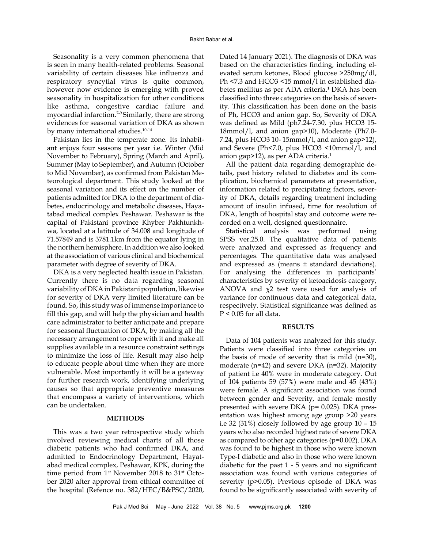Seasonality is a very common phenomena that is seen in many health-related problems. Seasonal variability of certain diseases like influenza and respiratory syncytial virus is quite common, however now evidence is emerging with proved seasonality in hospitalization for other conditions like asthma, congestive cardiac failure and myocardial infarction.7-9 Similarly, there are strong evidences for seasonal variation of DKA as shown by many international studies.<sup>10-14</sup>

Pakistan lies in the temperate zone. Its inhabitant enjoys four seasons per year i.e. Winter (Mid November to February), Spring (March and April), Summer (May to September), and Autumn (October to Mid November), as confirmed from Pakistan Meteorological department. This study looked at the seasonal variation and its effect on the number of patients admitted for DKA to the department of diabetes, endocrinology and metabolic diseases, Hayatabad medical complex Peshawar. Peshawar is the capital of Pakistani province Khyber Pakhtunkhwa, located at a latitude of 34.008 and longitude of 71.57849 and is 3781.1km from the equator lying in the northern hemisphere. In addition we also looked at the association of various clinical and biochemical parameter with degree of severity of DKA.

DKA is a very neglected health issue in Pakistan. Currently there is no data regarding seasonal variability of DKA in Pakistani population, likewise for severity of DKA very limited literature can be found. So, this study was of immense importance to fill this gap, and will help the physician and health care administrator to better anticipate and prepare for seasonal fluctuation of DKA, by making all the necessary arrangement to cope with it and make all supplies available in a resource constraint settings to minimize the loss of life. Result may also help to educate people about time when they are more vulnerable. Most importantly it will be a gateway for further research work, identifying underlying causes so that appropriate preventive measures that encompass a variety of interventions, which can be undertaken.

#### **METHODS**

This was a two year retrospective study which involved reviewing medical charts of all those diabetic patients who had confirmed DKA, and admitted to Endocrinology Department, Hayatabad medical complex, Peshawar, KPK, during the time period from 1<sup>st</sup> November 2018 to 31<sup>st</sup> October 2020 after approval from ethical committee of the hospital (Refence no. 382/HEC/B&PSC/2020,

Dated 14 January 2021). The diagnosis of DKA was based on the characteristics finding, including elevated serum ketones, Blood glucose >250mg/dl, Ph <7.3 and HCO3 <15 mmol/l in established diabetes mellitus as per ADA criteria.**<sup>1</sup>** DKA has been classified into three categories on the basis of severity. This classification has been done on the basis of Ph, HCO3 and anion gap. So, Severity of DKA was defined as Mild (ph7.24-7.30, plus HCO3 15- 18mmol/l, and anion gap>10), Moderate (Ph7.0- 7.24, plus HCO3 10- 15mmol/l, and anion gap>12), and Severe (Ph<7.0, plus HCO3 <10mmol/l, and anion gap>12), as per ADA criteria.<sup>1</sup>

All the patient data regarding demographic details, past history related to diabetes and its complication, biochemical parameters at presentation, information related to precipitating factors, severity of DKA, details regarding treatment including amount of insulin infused, time for resolution of DKA, length of hospital stay and outcome were recorded on a well, designed questionnaire.

Statistical analysis was performed using SPSS ver.25.0. The qualitative data of patients were analyzed and expressed as frequency and percentages. The quantitative data was analysed and expressed as (means ± standard deviations). For analysing the differences in participants' characteristics by severity of ketoacidosis category, ANOVA and  $\chi$ 2 test were used for analysis of variance for continuous data and categorical data, respectively. Statistical significance was defined as  $P < 0.05$  for all data.

#### **RESULTS**

Data of 104 patients was analyzed for this study. Patients were classified into three categories on the basis of mode of severity that is mild (n=30), moderate (n=42) and severe DKA (n=32). Majority of patient i.e 40% were in moderate category. Out of 104 patients 59 (57%) were male and 45 (43%) were female. A significant association was found between gender and Severity, and female mostly presented with severe DKA (p= 0.025). DKA presentation was highest among age group >20 years i.e 32 (31%) closely followed by age group 10 – 15 years who also recorded highest rate of severe DKA as compared to other age categories (p=0.002). DKA was found to be highest in those who were known Type-I diabetic and also in those who were known diabetic for the past 1 - 5 years and no significant association was found with various categories of severity (p>0.05). Previous episode of DKA was found to be significantly associated with severity of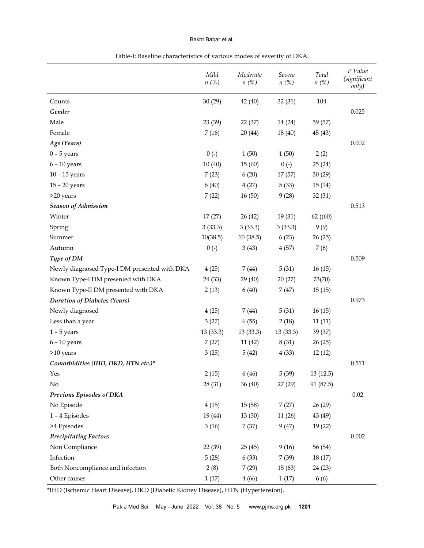## Bakht Babar et al.

|                                              | Mild<br>$n(\%)$ | Moderate<br>$n(\%)$ | Severe<br>$n(\%)$ | Total<br>$n(\%)$ | P Value<br><i>(significant</i><br>only) |
|----------------------------------------------|-----------------|---------------------|-------------------|------------------|-----------------------------------------|
| Counts                                       | 30(29)          | 42 (40)             | 32(31)            | 104              |                                         |
| Gender                                       |                 |                     |                   |                  | 0.025                                   |
| Male                                         | 23 (39)         | 22 (37)             | 14 (24)           | 59 (57)          |                                         |
| Female                                       | 7(16)           | 20(44)              | 18 (40)           | 45(43)           |                                         |
| Age (Years)                                  |                 |                     |                   |                  | 0.002                                   |
| $0 - 5$ years                                | $0(-)$          | 1(50)               | 1(50)             | 2(2)             |                                         |
| $6 - 10$ years                               | 10(40)          | 15(60)              | $0(-)$            | 25(24)           |                                         |
| $10 - 15$ years                              | 7(23)           | 6(20)               | 17 (57)           | 30(29)           |                                         |
| $15 - 20$ years                              | 6(40)           | 4(27)               | 5(33)             | 15(14)           |                                         |
| >20 years                                    | 7(22)           | 16(50)              | 9(28)             | 32 (31)          |                                         |
| <b>Season of Admission</b>                   |                 |                     |                   |                  | 0.513                                   |
| Winter                                       | 17(27)          | 26 (42)             | 19(31)            | 62(60)           |                                         |
| Spring                                       | 3(33.3)         | 3(33.3)             | 3(33.3)           | 9(9)             |                                         |
| Summer                                       | 10(38.5)        | 10(38.5)            | 6(23)             | 26(25)           |                                         |
| Autumn                                       | $0(-)$          | 3(43)               | 4(57)             | 7(6)             |                                         |
| Type of DM                                   |                 |                     |                   |                  | 0.509                                   |
| Newly diagnosed Type-I DM presented with DKA | 4(25)           | 7(44)               | 5(31)             | 16(15)           |                                         |
| Known Type-I DM presented with DKA           | 24 (33)         | 29 (40)             | 20(27)            | 73(70)           |                                         |
| Known Type-II DM presented with DKA          | 2(13)           | 6(40)               | 7(47)             | 15(15)           |                                         |
| <b>Duration of Diabetes (Years)</b>          |                 |                     |                   |                  | 0.973                                   |
| Newly diagnosed                              | 4(25)           | 7(44)               | 5(31)             | 16(15)           |                                         |
| Less than a year                             | 3(27)           | 6(55)               | 2(18)             | 11(11)           |                                         |
| $1 - 5$ years                                | 13(33.3)        | 13(33.3)            | 13(33.3)          | 39 (37)          |                                         |
| $6 - 10$ years                               | 7(27)           | 11(42)              | 8(31)             | 26(25)           |                                         |
| >10 years                                    | 3(25)           | 5(42)               | 4(33)             | 12(12)           |                                         |
| Comorbidities (IHD, DKD, HTN etc.)*          |                 |                     |                   |                  | 0.511                                   |
| Yes                                          | 2(15)           | 6(46)               | 5(39)             | 13(12.5)         |                                         |
| No                                           | 28 (31)         | 36(40)              | 27(29)            | 91 (87.5)        |                                         |
| Previous Episodes of DKA                     |                 |                     |                   |                  | 0.02                                    |
| No Episode                                   | 4(15)           | 15(58)              | 7(27)             | 26(29)           |                                         |
| 1-4 Episodes                                 | 19 (44)         | 13(30)              | 11(26)            | 43 (49)          |                                         |
| >4 Episodes                                  | 3(16)           | 7(37)               | 9(47)             | 19 (22)          |                                         |
| <b>Precipitating Factors</b>                 |                 |                     |                   |                  | 0.002                                   |
| Non Compliance                               | 22 (39)         | 25(45)              | 9(16)             | 56 (54)          |                                         |
| Infection                                    | 5(28)           | 6(33)               | 7(39)             | 18(17)           |                                         |
| Both Noncompliance and infection             | 2(8)            | 7(29)               | 15(63)            | 24 (23)          |                                         |
| Other causes                                 | 1(17)           | 4(66)               | 1(17)             | 6(6)             |                                         |

|  | Table-I: Baseline characteristics of various modes of severity of DKA. |  |  |
|--|------------------------------------------------------------------------|--|--|
|  |                                                                        |  |  |

\*IHD (Ischemic Heart Disease), DKD (Diabetic Kidney Disease), HTN (Hypertension).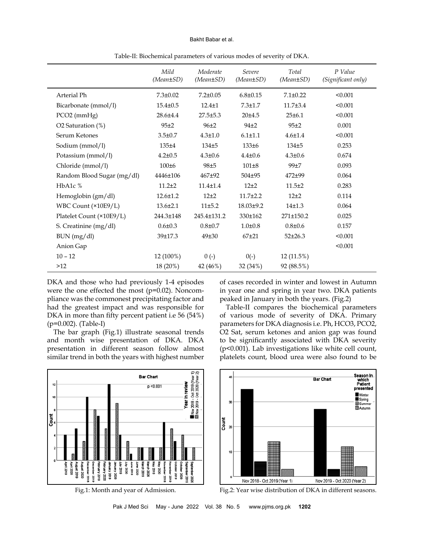#### Bakht Babar et al.

|                            | Mild<br>$(Mean \pm SD)$ | Moderate<br>$(Mean \pm SD)$ | Severe<br>$(Mean \pm SD)$ | Total<br>$(Mean \pm SD)$ | P Value<br>(Significant only) |
|----------------------------|-------------------------|-----------------------------|---------------------------|--------------------------|-------------------------------|
| Arterial Ph                | $7.3 \pm 0.02$          | $7.2 \pm 0.05$              | $6.8 \pm 0.15$            | $7.1 \pm 0.22$           | < 0.001                       |
| Bicarbonate (mmol/l)       | $15.4 \pm 0.5$          | $12.4 \pm 1$                | $7.3 \pm 1.7$             | 11.7±3.4                 | < 0.001                       |
| PCO2 (mmHg)                | 28.6±4.4                | $27.5 \pm 5.3$              | 20±4.5                    | 25±6.1                   | < 0.001                       |
| O2 Saturation (%)          | 95±2                    | $96+2$                      | 94 <sup>±2</sup>          | 95±2                     | 0.001                         |
| Serum Ketones              | $3.5 \pm 0.7$           | $4.3 \pm 1.0$               | $6.1 \pm 1.1$             | $4.6 \pm 1.4$            | < 0.001                       |
| Sodium (mmol/l)            | $135\pm4$               | $134\pm5$                   | 133±6                     | $134\pm5$                | 0.253                         |
| Potassium (mmol/l)         | $4.2 \pm 0.5$           | $4.3 \pm 0.6$               | $4.4 \pm 0.6$             | $4.3 \pm 0.6$            | 0.674                         |
| Chloride (mmol/l)          | $100\pm 6$              | 98±5                        | $101\pm8$                 | 99±7                     | 0.093                         |
| Random Blood Sugar (mg/dl) | 4446±106                | 467±92                      | $504 \pm 95$              | $472 + 99$               | 0.064                         |
| HbA1c %                    | $11.2 + 2$              | $11.4 \pm 1.4$              | $12+2$                    | $11.5 + 2$               | 0.283                         |
| Hemoglobin (gm/dl)         | 12.6±1.2                | $12\pm 2$                   | $11.7{\pm}2.2$            | $12\pm 2$                | 0.114                         |
| WBC Count (×10E9/L)        | $13.6 \pm 2.1$          | 11±5.2                      | 18.03±9.2                 | 14±1.3                   | 0.064                         |
| Platelet Count (×10E9/L)   | 244.3±148               | 245.4±131.2                 | 330±162                   | 271±150.2                | 0.025                         |
| S. Creatinine (mg/dl)      | $0.6 \pm 0.3$           | $0.8 + 0.7$                 | $1.0 \pm 0.8$             | $0.8 \pm 0.6$            | 0.157                         |
| BUN (mg/dl)                | 39±17.3                 | 49±30                       | $67 + 21$                 | $52\pm 26.3$             | < 0.001                       |
| Anion Gap                  |                         |                             |                           |                          | < 0.001                       |
| $10 - 12$                  | 12 (100%)               | $0(-)$                      | $0(-)$                    | 12 (11.5%)               |                               |
| >12                        | 18 (20%)                | 42 (46%)                    | 32 (34%)                  | 92 (88.5%)               |                               |

Table-II: Biochemical parameters of various modes of severity of DKA.

DKA and those who had previously 1-4 episodes were the one effected the most (p=0.02). Noncompliance was the commonest precipitating factor and had the greatest impact and was responsible for DKA in more than fifty percent patient i.e 56 (54%) (p=0.002). (Table-I)

The bar graph (Fig.1) illustrate seasonal trends and month wise presentation of DKA. DKA presentation in different season follow almost similar trend in both the years with highest number

of cases recorded in winter and lowest in Autumn in year one and spring in year two. DKA patients peaked in January in both the years. (Fig.2)

Table-II compares the biochemical parameters of various mode of severity of DKA. Primary parameters for DKA diagnosis i.e. Ph, HCO3, PCO2, O2 Sat, serum ketones and anion gap was found to be significantly associated with DKA severity (p<0.001). Lab investigations like white cell count, platelets count, blood urea were also found to be







Fig.1: Month and year of Admission. Fig.2: Year wise distribution of DKA in different seasons.

Pak J Med Sci May - June 2022 Vol. 38 No. 5 www.pjms.org.pk **1202**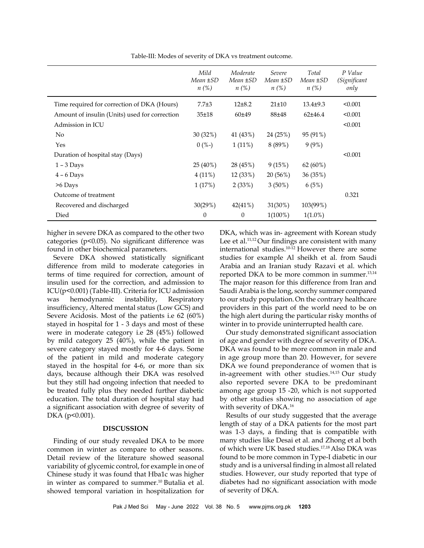|                                               | Mild<br>Mean ±SD<br>$n(\%)$ | Moderate<br>Mean ±SD<br>$n(\%)$ | Severe<br>Mean ±SD<br>$n(\%)$ | Total<br>Mean ±SD<br>$n(\%)$ | P Value<br>(Significant<br>only |
|-----------------------------------------------|-----------------------------|---------------------------------|-------------------------------|------------------------------|---------------------------------|
| Time required for correction of DKA (Hours)   | $7.7 + 3$                   | $12+8.2$                        | $21 \pm 10$                   | $13.4 \pm 9.3$               | < 0.001                         |
| Amount of insulin (Units) used for correction | $35 + 18$                   | 60±49                           | 88±48                         | $62+46.4$                    | < 0.001                         |
| Admission in ICU                              |                             |                                 |                               |                              | < 0.001                         |
| N <sub>o</sub>                                | 30(32%)                     | 41 (43%)                        | 24 (25%)                      | 95 (91%)                     |                                 |
| Yes                                           | $0(%$ -)                    | $1(11\%)$                       | 8 (89%)                       | $9(9\%)$                     |                                 |
| Duration of hospital stay (Days)              |                             |                                 |                               |                              | < 0.001                         |
| $1 - 3$ Days                                  | $25(40\%)$                  | 28 (45%)                        | 9(15%)                        | $62(60\%)$                   |                                 |
| $4 - 6$ Days                                  | $4(11\%)$                   | 12 (33%)                        | 20(56%)                       | 36 (35%)                     |                                 |
| $>6$ Days                                     | 1(17%)                      | 2(33%)                          | $3(50\%)$                     | 6(5%)                        |                                 |
| Outcome of treatment                          |                             |                                 |                               |                              | 0.321                           |
| Recovered and discharged                      | 30(29%)                     | $42(41\%)$                      | 31(30%)                       | 103(99%)                     |                                 |
| Died                                          | $\theta$                    | $\theta$                        | $1(100\%)$                    | $1(1.0\%)$                   |                                 |

Table-III: Modes of severity of DKA vs treatment outcome.

higher in severe DKA as compared to the other two categories ( $p$ <0.05). No significant difference was found in other biochemical parameters.

Severe DKA showed statistically significant difference from mild to moderate categories in terms of time required for correction, amount of insulin used for the correction, and admission to ICU(p<0.001) (Table-III). Criteria for ICU admission was hemodynamic instability, Respiratory insufficiency, Altered mental status (Low GCS) and Severe Acidosis. Most of the patients i.e 62 (60%) stayed in hospital for 1 - 3 days and most of these were in moderate category i.e 28 (45%) followed by mild category 25 (40%), while the patient in severe category stayed mostly for 4-6 days. Some of the patient in mild and moderate category stayed in the hospital for 4-6, or more than six days, because although their DKA was resolved but they still had ongoing infection that needed to be treated fully plus they needed further diabetic education. The total duration of hospital stay had a significant association with degree of severity of DKA (p<0.001).

#### **DISCUSSION**

Finding of our study revealed DKA to be more common in winter as compare to other seasons. Detail review of the literature showed seasonal variability of glycemic control, for example in one of Chinese study it was found that Hba1c was higher in winter as compared to summer.<sup>10</sup> Butalia et al. showed temporal variation in hospitalization for

DKA, which was in- agreement with Korean study Lee et al.<sup>11,12</sup> Our findings are consistent with many international studies.10-12 However there are some studies for example Al sheikh et al. from Saudi Arabia and an Iranian study Razavi et al. which reported DKA to be more common in summer.<sup>13,14</sup> The major reason for this difference from Iran and Saudi Arabia is the long, scorchy summer compared to our study population.On the contrary healthcare providers in this part of the world need to be on the high alert during the particular risky months of winter in to provide uninterrupted health care.

Our study demonstrated significant association of age and gender with degree of severity of DKA. DKA was found to be more common in male and in age group more than 20. However, for severe DKA we found preponderance of women that is in-agreement with other studies.<sup>14,15</sup> Our study also reported severe DKA to be predominant among age group 15 -20, which is not supported by other studies showing no association of age with severity of DKA.16

Results of our study suggested that the average length of stay of a DKA patients for the most part was 1-3 days, a finding that is compatible with many studies like Desai et al. and Zhong et al both of which were UK based studies.17,18 Also DKA was found to be more common in Type-I diabetic in our study and is a universal finding in almost all related studies. However, our study reported that type of diabetes had no significant association with mode of severity of DKA.